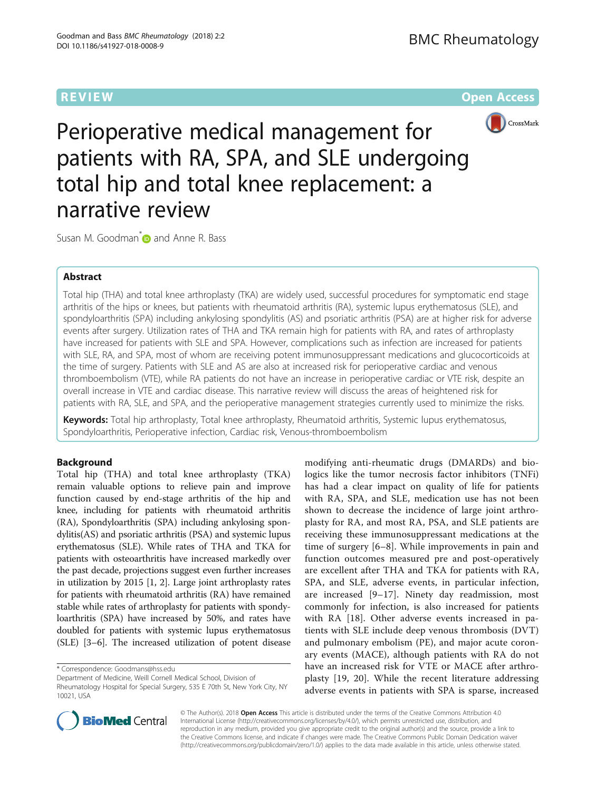**REVIEW CONTROL CONTROL CONTROL** CONTROL CONTROL CONTROL CONTROL CONTROL CONTROL CONTROL CONTROL CONTROL CONTROL



Perioperative medical management for patients with RA, SPA, and SLE undergoing total hip and total knee replacement: a narrative review

Susan M. Goodman<sup>\*</sup> and Anne R. Bass

# Abstract

Total hip (THA) and total knee arthroplasty (TKA) are widely used, successful procedures for symptomatic end stage arthritis of the hips or knees, but patients with rheumatoid arthritis (RA), systemic lupus erythematosus (SLE), and spondyloarthritis (SPA) including ankylosing spondylitis (AS) and psoriatic arthritis (PSA) are at higher risk for adverse events after surgery. Utilization rates of THA and TKA remain high for patients with RA, and rates of arthroplasty have increased for patients with SLE and SPA. However, complications such as infection are increased for patients with SLE, RA, and SPA, most of whom are receiving potent immunosuppressant medications and glucocorticoids at the time of surgery. Patients with SLE and AS are also at increased risk for perioperative cardiac and venous thromboembolism (VTE), while RA patients do not have an increase in perioperative cardiac or VTE risk, despite an overall increase in VTE and cardiac disease. This narrative review will discuss the areas of heightened risk for patients with RA, SLE, and SPA, and the perioperative management strategies currently used to minimize the risks.

Keywords: Total hip arthroplasty, Total knee arthroplasty, Rheumatoid arthritis, Systemic lupus erythematosus, Spondyloarthritis, Perioperative infection, Cardiac risk, Venous-thromboembolism

# Background

Total hip (THA) and total knee arthroplasty (TKA) remain valuable options to relieve pain and improve function caused by end-stage arthritis of the hip and knee, including for patients with rheumatoid arthritis (RA), Spondyloarthritis (SPA) including ankylosing spondylitis(AS) and psoriatic arthritis (PSA) and systemic lupus erythematosus (SLE). While rates of THA and TKA for patients with osteoarthritis have increased markedly over the past decade, projections suggest even further increases in utilization by 2015 [[1](#page-5-0), [2\]](#page-5-0). Large joint arthroplasty rates for patients with rheumatoid arthritis (RA) have remained stable while rates of arthroplasty for patients with spondyloarthritis (SPA) have increased by 50%, and rates have doubled for patients with systemic lupus erythematosus (SLE) [\[3](#page-5-0)–[6\]](#page-5-0). The increased utilization of potent disease

Department of Medicine, Weill Cornell Medical School, Division of

modifying anti-rheumatic drugs (DMARDs) and biologics like the tumor necrosis factor inhibitors (TNFi) has had a clear impact on quality of life for patients with RA, SPA, and SLE, medication use has not been shown to decrease the incidence of large joint arthroplasty for RA, and most RA, PSA, and SLE patients are receiving these immunosuppressant medications at the time of surgery [[6](#page-5-0)–[8\]](#page-5-0). While improvements in pain and function outcomes measured pre and post-operatively are excellent after THA and TKA for patients with RA, SPA, and SLE, adverse events, in particular infection, are increased [\[9](#page-5-0)–[17](#page-5-0)]. Ninety day readmission, most commonly for infection, is also increased for patients with RA [[18\]](#page-5-0). Other adverse events increased in patients with SLE include deep venous thrombosis (DVT) and pulmonary embolism (PE), and major acute coronary events (MACE), although patients with RA do not have an increased risk for VTE or MACE after arthroplasty [[19, 20\]](#page-5-0). While the recent literature addressing adverse events in patients with SPA is sparse, increased



© The Author(s). 2018 Open Access This article is distributed under the terms of the Creative Commons Attribution 4.0 International License [\(http://creativecommons.org/licenses/by/4.0/](http://creativecommons.org/licenses/by/4.0/)), which permits unrestricted use, distribution, and reproduction in any medium, provided you give appropriate credit to the original author(s) and the source, provide a link to the Creative Commons license, and indicate if changes were made. The Creative Commons Public Domain Dedication waiver [\(http://creativecommons.org/publicdomain/zero/1.0/](http://creativecommons.org/publicdomain/zero/1.0/)) applies to the data made available in this article, unless otherwise stated.

<sup>\*</sup> Correspondence: [Goodmans@hss.edu](mailto:Goodmans@hss.edu)

Rheumatology Hospital for Special Surgery, 535 E 70th St, New York City, NY 10021, USA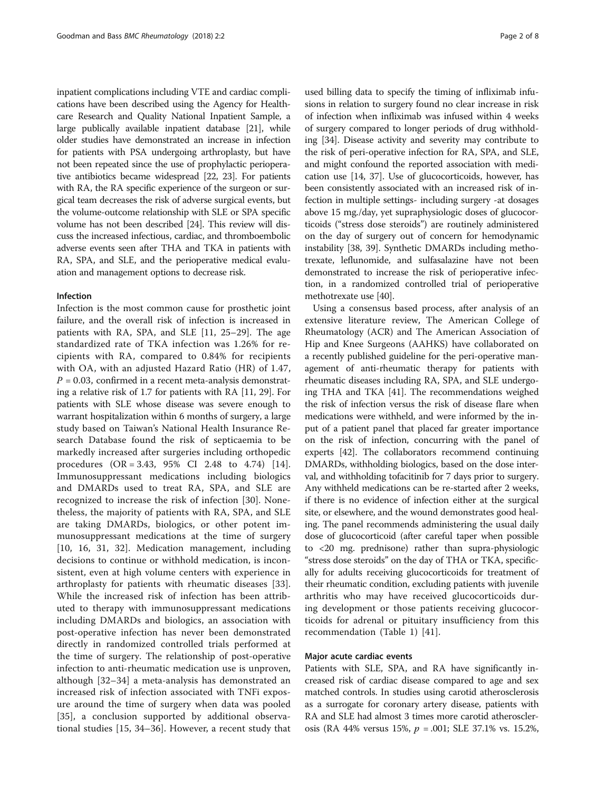inpatient complications including VTE and cardiac complications have been described using the Agency for Healthcare Research and Quality National Inpatient Sample, a large publically available inpatient database [[21](#page-5-0)], while older studies have demonstrated an increase in infection for patients with PSA undergoing arthroplasty, but have not been repeated since the use of prophylactic perioperative antibiotics became widespread [\[22](#page-5-0), [23\]](#page-5-0). For patients with RA, the RA specific experience of the surgeon or surgical team decreases the risk of adverse surgical events, but the volume-outcome relationship with SLE or SPA specific volume has not been described [[24](#page-5-0)]. This review will discuss the increased infectious, cardiac, and thromboembolic adverse events seen after THA and TKA in patients with RA, SPA, and SLE, and the perioperative medical evaluation and management options to decrease risk.

## Infection

Infection is the most common cause for prosthetic joint failure, and the overall risk of infection is increased in patients with RA, SPA, and SLE [\[11, 25](#page-5-0)–[29](#page-5-0)]. The age standardized rate of TKA infection was 1.26% for recipients with RA, compared to 0.84% for recipients with OA, with an adjusted Hazard Ratio (HR) of 1.47,  $P = 0.03$ , confirmed in a recent meta-analysis demonstrating a relative risk of 1.7 for patients with RA [\[11, 29\]](#page-5-0). For patients with SLE whose disease was severe enough to warrant hospitalization within 6 months of surgery, a large study based on Taiwan's National Health Insurance Research Database found the risk of septicaemia to be markedly increased after surgeries including orthopedic procedures (OR = 3.43, 95% CI 2.48 to 4.74) [\[14](#page-5-0)]. Immunosuppressant medications including biologics and DMARDs used to treat RA, SPA, and SLE are recognized to increase the risk of infection [\[30](#page-6-0)]. Nonetheless, the majority of patients with RA, SPA, and SLE are taking DMARDs, biologics, or other potent immunosuppressant medications at the time of surgery [[10, 16](#page-5-0), [31, 32\]](#page-6-0). Medication management, including decisions to continue or withhold medication, is inconsistent, even at high volume centers with experience in arthroplasty for patients with rheumatic diseases [\[33](#page-6-0)]. While the increased risk of infection has been attributed to therapy with immunosuppressant medications including DMARDs and biologics, an association with post-operative infection has never been demonstrated directly in randomized controlled trials performed at the time of surgery. The relationship of post-operative infection to anti-rheumatic medication use is unproven, although [\[32](#page-6-0)–[34](#page-6-0)] a meta-analysis has demonstrated an increased risk of infection associated with TNFi exposure around the time of surgery when data was pooled [[35\]](#page-6-0), a conclusion supported by additional observational studies [[15](#page-5-0), [34](#page-6-0)–[36\]](#page-6-0). However, a recent study that

used billing data to specify the timing of infliximab infusions in relation to surgery found no clear increase in risk of infection when infliximab was infused within 4 weeks of surgery compared to longer periods of drug withholding [\[34](#page-6-0)]. Disease activity and severity may contribute to the risk of peri-operative infection for RA, SPA, and SLE, and might confound the reported association with medication use [[14](#page-5-0), [37\]](#page-6-0). Use of glucocorticoids, however, has been consistently associated with an increased risk of infection in multiple settings- including surgery -at dosages above 15 mg./day, yet supraphysiologic doses of glucocorticoids ("stress dose steroids") are routinely administered on the day of surgery out of concern for hemodynamic instability [\[38, 39](#page-6-0)]. Synthetic DMARDs including methotrexate, leflunomide, and sulfasalazine have not been demonstrated to increase the risk of perioperative infection, in a randomized controlled trial of perioperative methotrexate use [\[40](#page-6-0)].

Using a consensus based process, after analysis of an extensive literature review, The American College of Rheumatology (ACR) and The American Association of Hip and Knee Surgeons (AAHKS) have collaborated on a recently published guideline for the peri-operative management of anti-rheumatic therapy for patients with rheumatic diseases including RA, SPA, and SLE undergoing THA and TKA [\[41\]](#page-6-0). The recommendations weighed the risk of infection versus the risk of disease flare when medications were withheld, and were informed by the input of a patient panel that placed far greater importance on the risk of infection, concurring with the panel of experts [\[42\]](#page-6-0). The collaborators recommend continuing DMARDs, withholding biologics, based on the dose interval, and withholding tofacitinib for 7 days prior to surgery. Any withheld medications can be re-started after 2 weeks, if there is no evidence of infection either at the surgical site, or elsewhere, and the wound demonstrates good healing. The panel recommends administering the usual daily dose of glucocorticoid (after careful taper when possible to <20 mg. prednisone) rather than supra-physiologic "stress dose steroids" on the day of THA or TKA, specifically for adults receiving glucocorticoids for treatment of their rheumatic condition, excluding patients with juvenile arthritis who may have received glucocorticoids during development or those patients receiving glucocorticoids for adrenal or pituitary insufficiency from this recommendation (Table [1](#page-2-0)) [[41\]](#page-6-0).

## Major acute cardiac events

Patients with SLE, SPA, and RA have significantly increased risk of cardiac disease compared to age and sex matched controls. In studies using carotid atherosclerosis as a surrogate for coronary artery disease, patients with RA and SLE had almost 3 times more carotid atherosclerosis (RA 44% versus 15%,  $p = .001$ ; SLE 37.1% vs. 15.2%,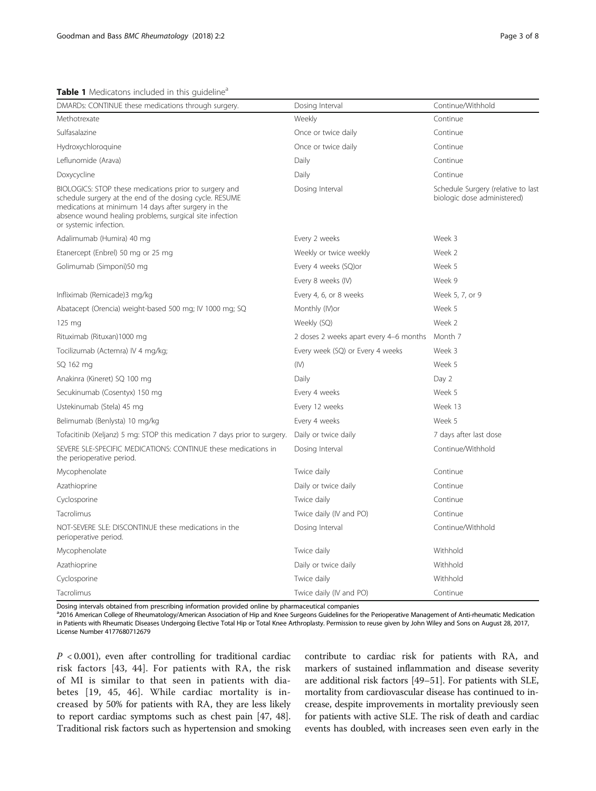## <span id="page-2-0"></span>Table 1 Medicatons included in this quideline<sup>a</sup>

| DMARDs: CONTINUE these medications through surgery.                                                                                                                                                                                                           | Dosing Interval                        | Continue/Withhold                                                 |
|---------------------------------------------------------------------------------------------------------------------------------------------------------------------------------------------------------------------------------------------------------------|----------------------------------------|-------------------------------------------------------------------|
| Methotrexate                                                                                                                                                                                                                                                  | Weekly                                 | Continue                                                          |
| Sulfasalazine                                                                                                                                                                                                                                                 | Once or twice daily                    | Continue                                                          |
| Hydroxychloroquine                                                                                                                                                                                                                                            | Once or twice daily                    | Continue                                                          |
| Leflunomide (Arava)                                                                                                                                                                                                                                           | Daily                                  | Continue                                                          |
| Doxycycline                                                                                                                                                                                                                                                   | Daily                                  | Continue                                                          |
| BIOLOGICS: STOP these medications prior to surgery and<br>schedule surgery at the end of the dosing cycle. RESUME<br>medications at minimum 14 days after surgery in the<br>absence wound healing problems, surgical site infection<br>or systemic infection. | Dosing Interval                        | Schedule Surgery (relative to last<br>biologic dose administered) |
| Adalimumab (Humira) 40 mg                                                                                                                                                                                                                                     | Every 2 weeks                          | Week 3                                                            |
| Etanercept (Enbrel) 50 mg or 25 mg                                                                                                                                                                                                                            | Weekly or twice weekly                 | Week 2                                                            |
| Golimumab (Simponi)50 mg                                                                                                                                                                                                                                      | Every 4 weeks (SQ)or                   | Week 5                                                            |
|                                                                                                                                                                                                                                                               | Every 8 weeks (IV)                     | Week 9                                                            |
| Infliximab (Remicade)3 mg/kg                                                                                                                                                                                                                                  | Every 4, 6, or 8 weeks                 | Week 5, 7, or 9                                                   |
| Abatacept (Orencia) weight-based 500 mg; IV 1000 mg; SQ                                                                                                                                                                                                       | Monthly (IV) or                        | Week 5                                                            |
| 125 mg                                                                                                                                                                                                                                                        | Weekly (SQ)                            | Week 2                                                            |
| Rituximab (Rituxan)1000 mg                                                                                                                                                                                                                                    | 2 doses 2 weeks apart every 4–6 months | Month 7                                                           |
| Tocilizumab (Actemra) IV 4 mg/kg;                                                                                                                                                                                                                             | Every week (SQ) or Every 4 weeks       | Week 3                                                            |
| SQ 162 mg                                                                                                                                                                                                                                                     | (IV)                                   | Week 5                                                            |
| Anakinra (Kineret) SQ 100 mg                                                                                                                                                                                                                                  | Daily                                  | Day 2                                                             |
| Secukinumab (Cosentyx) 150 mg                                                                                                                                                                                                                                 | Every 4 weeks                          | Week 5                                                            |
| Ustekinumab (Stela) 45 mg                                                                                                                                                                                                                                     | Every 12 weeks                         | Week 13                                                           |
| Belimumab (Benlysta) 10 mg/kg                                                                                                                                                                                                                                 | Every 4 weeks                          | Week 5                                                            |
| Tofacitinib (Xeljanz) 5 mg: STOP this medication 7 days prior to surgery.                                                                                                                                                                                     | Daily or twice daily                   | 7 days after last dose                                            |
| SEVERE SLE-SPECIFIC MEDICATIONS: CONTINUE these medications in<br>the perioperative period.                                                                                                                                                                   | Dosing Interval                        | Continue/Withhold                                                 |
| Mycophenolate                                                                                                                                                                                                                                                 | Twice daily                            | Continue                                                          |
| Azathioprine                                                                                                                                                                                                                                                  | Daily or twice daily                   | Continue                                                          |
| Cyclosporine                                                                                                                                                                                                                                                  | Twice daily                            | Continue                                                          |
| Tacrolimus                                                                                                                                                                                                                                                    | Twice daily (IV and PO)                | Continue                                                          |
| NOT-SEVERE SLE: DISCONTINUE these medications in the<br>perioperative period.                                                                                                                                                                                 | Dosing Interval                        | Continue/Withhold                                                 |
| Mycophenolate                                                                                                                                                                                                                                                 | Twice daily                            | Withhold                                                          |
| Azathioprine                                                                                                                                                                                                                                                  | Daily or twice daily                   | Withhold                                                          |
| Cyclosporine                                                                                                                                                                                                                                                  | Twice daily                            | Withhold                                                          |
| Tacrolimus                                                                                                                                                                                                                                                    | Twice daily (IV and PO)                | Continue                                                          |

Dosing intervals obtained from prescribing information provided online by pharmaceutical companies

a<br>2016 American College of Rheumatology/American Association of Hip and Knee Surgeons Guidelines for the Perioperative Management of Anti-rheumatic Medication in Patients with Rheumatic Diseases Undergoing Elective Total Hip or Total Knee Arthroplasty. Permission to reuse given by John Wiley and Sons on August 28, 2017, License Number 4177680712679

 $P < 0.001$ ), even after controlling for traditional cardiac risk factors [[43, 44](#page-6-0)]. For patients with RA, the risk of MI is similar to that seen in patients with diabetes [[19,](#page-5-0) [45](#page-6-0), [46](#page-6-0)]. While cardiac mortality is increased by 50% for patients with RA, they are less likely to report cardiac symptoms such as chest pain [[47](#page-6-0), [48](#page-6-0)]. Traditional risk factors such as hypertension and smoking

contribute to cardiac risk for patients with RA, and markers of sustained inflammation and disease severity are additional risk factors [\[49](#page-6-0)–[51](#page-6-0)]. For patients with SLE, mortality from cardiovascular disease has continued to increase, despite improvements in mortality previously seen for patients with active SLE. The risk of death and cardiac events has doubled, with increases seen even early in the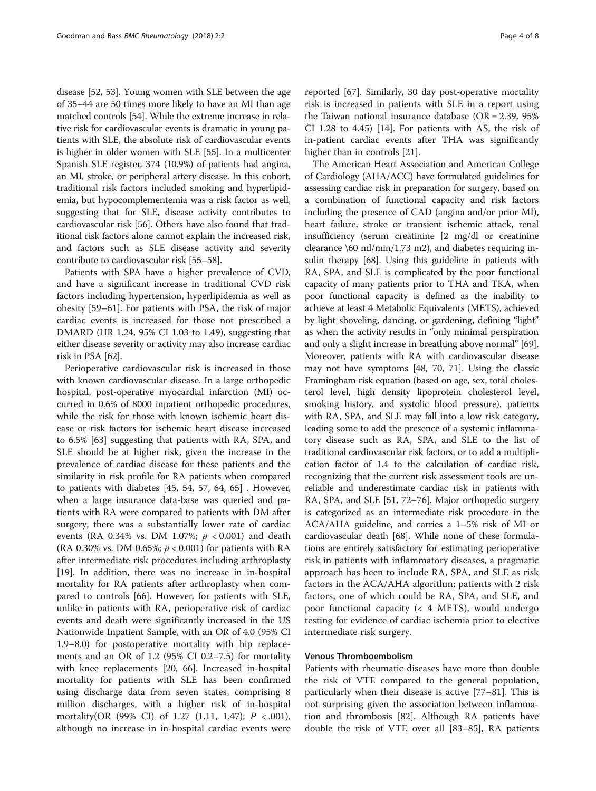disease [[52, 53](#page-6-0)]. Young women with SLE between the age of 35–44 are 50 times more likely to have an MI than age matched controls [\[54\]](#page-6-0). While the extreme increase in relative risk for cardiovascular events is dramatic in young patients with SLE, the absolute risk of cardiovascular events is higher in older women with SLE [\[55](#page-6-0)]. In a multicenter Spanish SLE register, 374 (10.9%) of patients had angina, an MI, stroke, or peripheral artery disease. In this cohort, traditional risk factors included smoking and hyperlipidemia, but hypocomplementemia was a risk factor as well, suggesting that for SLE, disease activity contributes to cardiovascular risk [[56](#page-6-0)]. Others have also found that traditional risk factors alone cannot explain the increased risk, and factors such as SLE disease activity and severity contribute to cardiovascular risk [[55](#page-6-0)–[58\]](#page-6-0).

Patients with SPA have a higher prevalence of CVD, and have a significant increase in traditional CVD risk factors including hypertension, hyperlipidemia as well as obesity [\[59](#page-6-0)–[61](#page-6-0)]. For patients with PSA, the risk of major cardiac events is increased for those not prescribed a DMARD (HR 1.24, 95% CI 1.03 to 1.49), suggesting that either disease severity or activity may also increase cardiac risk in PSA [\[62\]](#page-6-0).

Perioperative cardiovascular risk is increased in those with known cardiovascular disease. In a large orthopedic hospital, post-operative myocardial infarction (MI) occurred in 0.6% of 8000 inpatient orthopedic procedures, while the risk for those with known ischemic heart disease or risk factors for ischemic heart disease increased to 6.5% [[63\]](#page-6-0) suggesting that patients with RA, SPA, and SLE should be at higher risk, given the increase in the prevalence of cardiac disease for these patients and the similarity in risk profile for RA patients when compared to patients with diabetes [[45](#page-6-0), [54](#page-6-0), [57, 64, 65\]](#page-6-0) . However, when a large insurance data-base was queried and patients with RA were compared to patients with DM after surgery, there was a substantially lower rate of cardiac events (RA 0.34% vs. DM 1.07%;  $p < 0.001$ ) and death (RA 0.30% vs. DM 0.65%;  $p < 0.001$ ) for patients with RA after intermediate risk procedures including arthroplasty [[19\]](#page-5-0). In addition, there was no increase in in-hospital mortality for RA patients after arthroplasty when compared to controls [[66](#page-6-0)]. However, for patients with SLE, unlike in patients with RA, perioperative risk of cardiac events and death were significantly increased in the US Nationwide Inpatient Sample, with an OR of 4.0 (95% CI 1.9–8.0) for postoperative mortality with hip replacements and an OR of 1.2 (95% CI 0.2–7.5) for mortality with knee replacements [[20,](#page-5-0) [66\]](#page-6-0). Increased in-hospital mortality for patients with SLE has been confirmed using discharge data from seven states, comprising 8 million discharges, with a higher risk of in-hospital mortality(OR (99% CI) of 1.27 (1.11, 1.47);  $P < .001$ ), although no increase in in-hospital cardiac events were

reported [[67](#page-6-0)]. Similarly, 30 day post-operative mortality risk is increased in patients with SLE in a report using the Taiwan national insurance database ( $OR = 2.39$ ,  $95\%$ CI 1.28 to 4.45) [[14\]](#page-5-0). For patients with AS, the risk of in-patient cardiac events after THA was significantly higher than in controls [\[21\]](#page-5-0).

The American Heart Association and American College of Cardiology (AHA/ACC) have formulated guidelines for assessing cardiac risk in preparation for surgery, based on a combination of functional capacity and risk factors including the presence of CAD (angina and/or prior MI), heart failure, stroke or transient ischemic attack, renal insufficiency (serum creatinine [2 mg/dl or creatinine clearance \60 ml/min/1.73 m2), and diabetes requiring insulin therapy [\[68\]](#page-6-0). Using this guideline in patients with RA, SPA, and SLE is complicated by the poor functional capacity of many patients prior to THA and TKA, when poor functional capacity is defined as the inability to achieve at least 4 Metabolic Equivalents (METS), achieved by light shoveling, dancing, or gardening, defining "light" as when the activity results in "only minimal perspiration and only a slight increase in breathing above normal" [[69](#page-7-0)]. Moreover, patients with RA with cardiovascular disease may not have symptoms [[48](#page-6-0), [70, 71](#page-7-0)]. Using the classic Framingham risk equation (based on age, sex, total cholesterol level, high density lipoprotein cholesterol level, smoking history, and systolic blood pressure), patients with RA, SPA, and SLE may fall into a low risk category, leading some to add the presence of a systemic inflammatory disease such as RA, SPA, and SLE to the list of traditional cardiovascular risk factors, or to add a multiplication factor of 1.4 to the calculation of cardiac risk, recognizing that the current risk assessment tools are unreliable and underestimate cardiac risk in patients with RA, SPA, and SLE [\[51,](#page-6-0) [72](#page-7-0)–[76](#page-7-0)]. Major orthopedic surgery is categorized as an intermediate risk procedure in the ACA/AHA guideline, and carries a 1–5% risk of MI or cardiovascular death [\[68](#page-6-0)]. While none of these formulations are entirely satisfactory for estimating perioperative risk in patients with inflammatory diseases, a pragmatic approach has been to include RA, SPA, and SLE as risk factors in the ACA/AHA algorithm; patients with 2 risk factors, one of which could be RA, SPA, and SLE, and poor functional capacity (< 4 METS), would undergo testing for evidence of cardiac ischemia prior to elective intermediate risk surgery.

## Venous Thromboembolism

Patients with rheumatic diseases have more than double the risk of VTE compared to the general population, particularly when their disease is active [[77](#page-7-0)–[81](#page-7-0)]. This is not surprising given the association between inflammation and thrombosis [\[82](#page-7-0)]. Although RA patients have double the risk of VTE over all [\[83](#page-7-0)–[85\]](#page-7-0), RA patients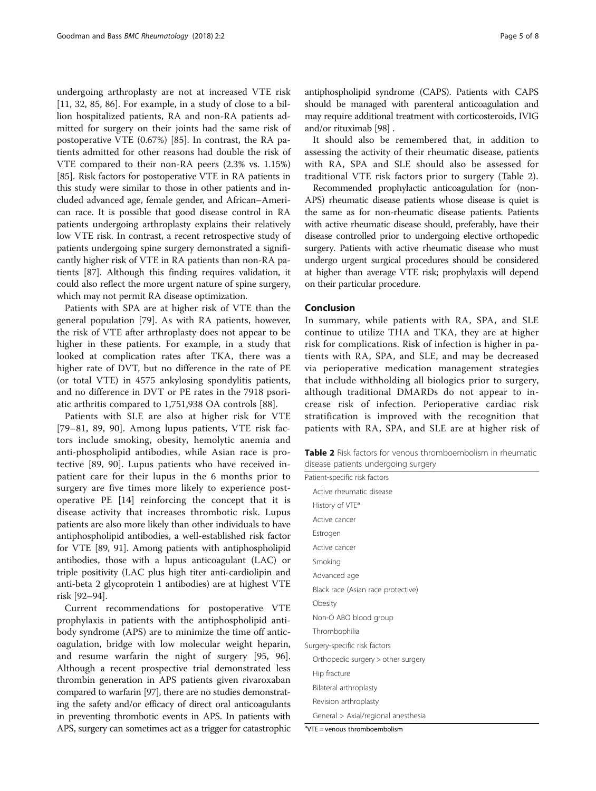undergoing arthroplasty are not at increased VTE risk [[11,](#page-5-0) [32,](#page-6-0) [85, 86\]](#page-7-0). For example, in a study of close to a billion hospitalized patients, RA and non-RA patients admitted for surgery on their joints had the same risk of postoperative VTE (0.67%) [[85\]](#page-7-0). In contrast, the RA patients admitted for other reasons had double the risk of VTE compared to their non-RA peers (2.3% vs. 1.15%) [[85\]](#page-7-0). Risk factors for postoperative VTE in RA patients in this study were similar to those in other patients and included advanced age, female gender, and African–American race. It is possible that good disease control in RA patients undergoing arthroplasty explains their relatively low VTE risk. In contrast, a recent retrospective study of patients undergoing spine surgery demonstrated a significantly higher risk of VTE in RA patients than non-RA patients [[87](#page-7-0)]. Although this finding requires validation, it could also reflect the more urgent nature of spine surgery, which may not permit RA disease optimization.

Patients with SPA are at higher risk of VTE than the general population [[79\]](#page-7-0). As with RA patients, however, the risk of VTE after arthroplasty does not appear to be higher in these patients. For example, in a study that looked at complication rates after TKA, there was a higher rate of DVT, but no difference in the rate of PE (or total VTE) in 4575 ankylosing spondylitis patients, and no difference in DVT or PE rates in the 7918 psoriatic arthritis compared to 1,751,938 OA controls [[88](#page-7-0)].

Patients with SLE are also at higher risk for VTE [[79](#page-7-0)–[81, 89, 90\]](#page-7-0). Among lupus patients, VTE risk factors include smoking, obesity, hemolytic anemia and anti-phospholipid antibodies, while Asian race is protective [[89, 90](#page-7-0)]. Lupus patients who have received inpatient care for their lupus in the 6 months prior to surgery are five times more likely to experience postoperative PE [\[14](#page-5-0)] reinforcing the concept that it is disease activity that increases thrombotic risk. Lupus patients are also more likely than other individuals to have antiphospholipid antibodies, a well-established risk factor for VTE [\[89, 91](#page-7-0)]. Among patients with antiphospholipid antibodies, those with a lupus anticoagulant (LAC) or triple positivity (LAC plus high titer anti-cardiolipin and anti-beta 2 glycoprotein 1 antibodies) are at highest VTE risk [\[92](#page-7-0)–[94](#page-7-0)].

Current recommendations for postoperative VTE prophylaxis in patients with the antiphospholipid antibody syndrome (APS) are to minimize the time off anticoagulation, bridge with low molecular weight heparin, and resume warfarin the night of surgery [[95, 96](#page-7-0)]. Although a recent prospective trial demonstrated less thrombin generation in APS patients given rivaroxaban compared to warfarin [[97\]](#page-7-0), there are no studies demonstrating the safety and/or efficacy of direct oral anticoagulants in preventing thrombotic events in APS. In patients with APS, surgery can sometimes act as a trigger for catastrophic antiphospholipid syndrome (CAPS). Patients with CAPS should be managed with parenteral anticoagulation and may require additional treatment with corticosteroids, IVIG and/or rituximab [\[98\]](#page-7-0) .

It should also be remembered that, in addition to assessing the activity of their rheumatic disease, patients with RA, SPA and SLE should also be assessed for traditional VTE risk factors prior to surgery (Table 2).

Recommended prophylactic anticoagulation for (non-APS) rheumatic disease patients whose disease is quiet is the same as for non-rheumatic disease patients. Patients with active rheumatic disease should, preferably, have their disease controlled prior to undergoing elective orthopedic surgery. Patients with active rheumatic disease who must undergo urgent surgical procedures should be considered at higher than average VTE risk; prophylaxis will depend on their particular procedure.

## Conclusion

In summary, while patients with RA, SPA, and SLE continue to utilize THA and TKA, they are at higher risk for complications. Risk of infection is higher in patients with RA, SPA, and SLE, and may be decreased via perioperative medication management strategies that include withholding all biologics prior to surgery, although traditional DMARDs do not appear to increase risk of infection. Perioperative cardiac risk stratification is improved with the recognition that patients with RA, SPA, and SLE are at higher risk of

Table 2 Risk factors for venous thromboembolism in rheumatic disease patients undergoing surgery

| Patient-specific risk factors       |
|-------------------------------------|
| Active rheumatic disease            |
| History of VTE <sup>a</sup>         |
| Active cancer                       |
| Estrogen                            |
| Active cancer                       |
| Smoking                             |
| Advanced age                        |
| Black race (Asian race protective)  |
| Obesity                             |
| Non-O ABO blood group               |
| Thrombophilia                       |
| Surgery-specific risk factors       |
| Orthopedic surgery > other surgery  |
| Hip fracture                        |
| Bilateral arthroplasty              |
| Revision arthroplasty               |
| General > Axial/regional anesthesia |

a VTE = venous thromboembolism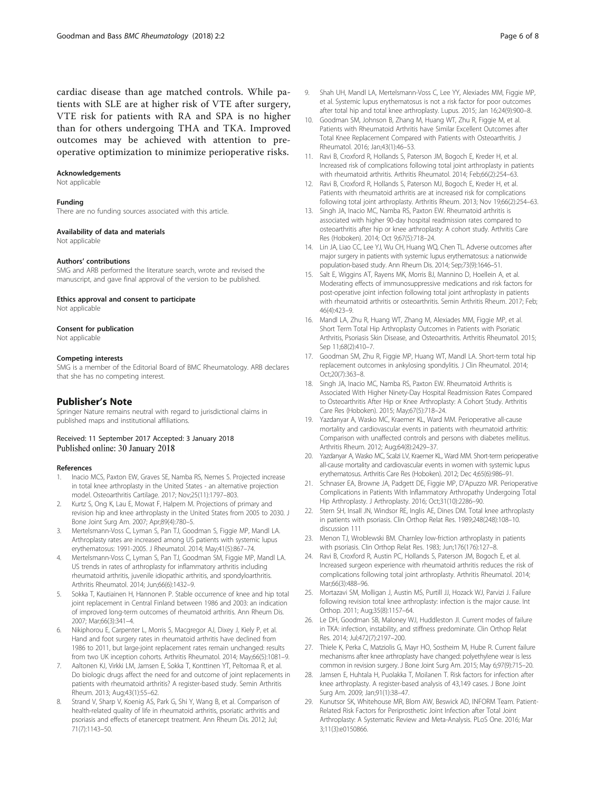<span id="page-5-0"></span>cardiac disease than age matched controls. While patients with SLE are at higher risk of VTE after surgery, VTE risk for patients with RA and SPA is no higher than for others undergoing THA and TKA. Improved outcomes may be achieved with attention to preoperative optimization to minimize perioperative risks.

## Acknowledgements

Not applicable

### Funding

There are no funding sources associated with this article.

## Availability of data and materials

Not applicable

## Authors' contributions

SMG and ARB performed the literature search, wrote and revised the manuscript, and gave final approval of the version to be published.

## Ethics approval and consent to participate

Not applicable

#### Consent for publication

Not applicable

#### Competing interests

SMG is a member of the Editorial Board of BMC Rheumatology. ARB declares that she has no competing interest.

## Publisher's Note

Springer Nature remains neutral with regard to jurisdictional claims in published maps and institutional affiliations.

## Received: 11 September 2017 Accepted: 3 January 2018 Published online: 30 January 2018

## References

- 1. Inacio MCS, Paxton EW, Graves SE, Namba RS, Nemes S. Projected increase in total knee arthroplasty in the United States - an alternative projection model. Osteoarthritis Cartilage. 2017; Nov;25(11):1797–803.
- 2. Kurtz S, Ong K, Lau E, Mowat F, Halpern M. Projections of primary and revision hip and knee arthroplasty in the United States from 2005 to 2030. J Bone Joint Surg Am. 2007; Apr;89(4):780–5.
- 3. Mertelsmann-Voss C, Lyman S, Pan TJ, Goodman S, Figgie MP, Mandl LA. Arthroplasty rates are increased among US patients with systemic lupus erythematosus: 1991-2005. J Rheumatol. 2014; May;41(5):867–74.
- 4. Mertelsmann-Voss C, Lyman S, Pan TJ, Goodman SM, Figgie MP, Mandl LA. US trends in rates of arthroplasty for inflammatory arthritis including rheumatoid arthritis, juvenile idiopathic arthritis, and spondyloarthritis. Arthritis Rheumatol. 2014; Jun;66(6):1432–9.
- 5. Sokka T, Kautiainen H, Hannonen P. Stable occurrence of knee and hip total joint replacement in Central Finland between 1986 and 2003: an indication of improved long-term outcomes of rheumatoid arthritis. Ann Rheum Dis. 2007; Mar;66(3):341–4.
- 6. Nikiphorou E, Carpenter L, Morris S, Macgregor AJ, Dixey J, Kiely P, et al. Hand and foot surgery rates in rheumatoid arthritis have declined from 1986 to 2011, but large-joint replacement rates remain unchanged: results from two UK inception cohorts. Arthritis Rheumatol. 2014; May;66(5):1081–9.
- 7. Aaltonen KJ, Virkki LM, Jamsen E, Sokka T, Konttinen YT, Peltomaa R, et al. Do biologic drugs affect the need for and outcome of joint replacements in patients with rheumatoid arthritis? A register-based study. Semin Arthritis Rheum. 2013; Aug;43(1):55–62.
- Strand V, Sharp V, Koenig AS, Park G, Shi Y, Wang B, et al. Comparison of health-related quality of life in rheumatoid arthritis, psoriatic arthritis and psoriasis and effects of etanercept treatment. Ann Rheum Dis. 2012; Jul; 71(7):1143–50.
- 9. Shah UH, Mandl LA, Mertelsmann-Voss C, Lee YY, Alexiades MM, Figgie MP, et al. Systemic lupus erythematosus is not a risk factor for poor outcomes after total hip and total knee arthroplasty. Lupus. 2015; Jan 16;24(9):900–8.
- 10. Goodman SM, Johnson B, Zhang M, Huang WT, Zhu R, Figgie M, et al. Patients with Rheumatoid Arthritis have Similar Excellent Outcomes after Total Knee Replacement Compared with Patients with Osteoarthritis. J Rheumatol. 2016; Jan;43(1):46–53.
- 11. Ravi B, Croxford R, Hollands S, Paterson JM, Bogoch E, Kreder H, et al. Increased risk of complications following total joint arthroplasty in patients with rheumatoid arthritis. Arthritis Rheumatol. 2014; Feb;66(2):254–63.
- 12. Ravi B, Croxford R, Hollands S, Paterson MJ, Bogoch E, Kreder H, et al. Patients with rheumatoid arthritis are at increased risk for complications following total joint arthroplasty. Arthritis Rheum. 2013; Nov 19;66(2):254–63.
- 13. Singh JA, Inacio MC, Namba RS, Paxton EW. Rheumatoid arthritis is associated with higher 90-day hospital readmission rates compared to osteoarthritis after hip or knee arthroplasty: A cohort study. Arthritis Care Res (Hoboken). 2014; Oct 9;67(5):718–24.
- 14. Lin JA, Liao CC, Lee YJ, Wu CH, Huang WQ, Chen TL. Adverse outcomes after major surgery in patients with systemic lupus erythematosus: a nationwide population-based study. Ann Rheum Dis. 2014; Sep;73(9):1646–51.
- 15. Salt E, Wiggins AT, Rayens MK, Morris BJ, Mannino D, Hoellein A, et al. Moderating effects of immunosuppressive medications and risk factors for post-operative joint infection following total joint arthroplasty in patients with rheumatoid arthritis or osteoarthritis. Semin Arthritis Rheum. 2017; Feb; 46(4):423–9.
- 16. Mandl LA, Zhu R, Huang WT, Zhang M, Alexiades MM, Figgie MP, et al. Short Term Total Hip Arthroplasty Outcomes in Patients with Psoriatic Arthritis, Psoriasis Skin Disease, and Osteoarthritis. Arthritis Rheumatol. 2015; Sep 11;68(2):410–7.
- 17. Goodman SM, Zhu R, Figgie MP, Huang WT, Mandl LA. Short-term total hip replacement outcomes in ankylosing spondylitis. J Clin Rheumatol. 2014; Oct;20(7):363–8.
- 18. Singh JA, Inacio MC, Namba RS, Paxton EW. Rheumatoid Arthritis is Associated With Higher Ninety-Day Hospital Readmission Rates Compared to Osteoarthritis After Hip or Knee Arthroplasty: A Cohort Study. Arthritis Care Res (Hoboken). 2015; May;67(5):718–24.
- 19. Yazdanyar A, Wasko MC, Kraemer KL, Ward MM. Perioperative all-cause mortality and cardiovascular events in patients with rheumatoid arthritis: Comparison with unaffected controls and persons with diabetes mellitus. Arthritis Rheum. 2012; Aug;64(8):2429–37.
- 20. Yazdanyar A, Wasko MC, Scalzi LV, Kraemer KL, Ward MM. Short-term perioperative all-cause mortality and cardiovascular events in women with systemic lupus erythematosus. Arthritis Care Res (Hoboken). 2012; Dec 4;65(6):986–91.
- 21. Schnaser EA, Browne JA, Padgett DE, Figgie MP, D'Apuzzo MR. Perioperative Complications in Patients With Inflammatory Arthropathy Undergoing Total Hip Arthroplasty. J Arthroplasty. 2016; Oct;31(10):2286–90.
- 22. Stern SH, Insall JN, Windsor RE, Inglis AE, Dines DM. Total knee arthroplasty in patients with psoriasis. Clin Orthop Relat Res. 1989;248(248):108–10. discussion 111
- 23. Menon TJ, Wroblewski BM. Charnley low-friction arthroplasty in patients with psoriasis. Clin Orthop Relat Res. 1983; Jun;176(176):127–8.
- 24. Ravi B, Croxford R, Austin PC, Hollands S, Paterson JM, Bogoch E, et al. Increased surgeon experience with rheumatoid arthritis reduces the risk of complications following total joint arthroplasty. Arthritis Rheumatol. 2014; Mar;66(3):488–96.
- 25. Mortazavi SM, Molligan J, Austin MS, Purtill JJ, Hozack WJ, Parvizi J. Failure following revision total knee arthroplasty: infection is the major cause. Int Orthop. 2011; Aug;35(8):1157–64.
- 26. Le DH, Goodman SB, Maloney WJ, Huddleston JI. Current modes of failure in TKA: infection, instability, and stiffness predominate. Clin Orthop Relat Res. 2014; Jul;472(7):2197–200.
- 27. Thiele K, Perka C, Matziolis G, Mayr HO, Sostheim M, Hube R. Current failure mechanisms after knee arthroplasty have changed: polyethylene wear is less common in revision surgery. J Bone Joint Surg Am. 2015; May 6;97(9):715–20.
- 28. Jamsen E, Huhtala H, Puolakka T, Moilanen T. Risk factors for infection after knee arthroplasty. A register-based analysis of 43,149 cases. J Bone Joint Surg Am. 2009; Jan;91(1):38–47.
- 29. Kunutsor SK, Whitehouse MR, Blom AW, Beswick AD, INFORM Team. Patient-Related Risk Factors for Periprosthetic Joint Infection after Total Joint Arthroplasty: A Systematic Review and Meta-Analysis. PLoS One. 2016; Mar 3;11(3):e0150866.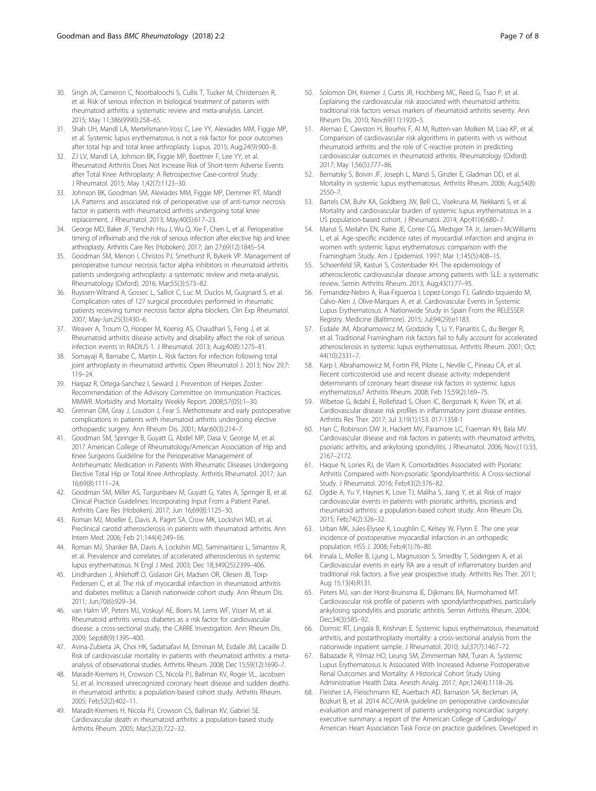- <span id="page-6-0"></span>30. Singh JA, Cameron C, Noorbaloochi S, Cullis T, Tucker M, Christensen R, et al. Risk of serious infection in biological treatment of patients with rheumatoid arthritis: a systematic review and meta-analysis. Lancet. 2015; May 11;386(9990):258–65.
- 31. Shah UH, Mandl LA, Mertelsmann-Voss C, Lee YY, Alexiades MM, Figgie MP, et al. Systemic lupus erythematosus is not a risk factor for poor outcomes after total hip and total knee arthroplasty. Lupus. 2015; Aug;24(9):900–8.
- 32. ZJ LV, Mandl LA, Johnson BK, Figgie MP, Boettner F, Lee YY, et al. Rheumatoid Arthritis Does Not Increase Risk of Short-term Adverse Events after Total Knee Arthroplasty: A Retrospective Case-control Study. J Rheumatol. 2015; May 1;42(7):1123–30.
- 33. Johnson BK, Goodman SM, Alexiades MM, Figgie MP, Demmer RT, Mandl LA. Patterns and associated risk of perioperative use of anti-tumor necrosis factor in patients with rheumatoid arthritis undergoing total knee replacement. J Rheumatol. 2013; May;40(5):617–23.
- 34. George MD, Baker JF, Yenchih Hsu J, Wu Q, Xie F, Chen L, et al. Perioperative timing of infliximab and the risk of serious infection after elective hip and knee arthroplasty. Arthritis Care Res (Hoboken). 2017; Jan 27;69(12):1845–54.
- 35. Goodman SM, Menon I, Christos PJ, Smethurst R, Bykerk VP. Management of perioperative tumour necrosis factor alpha inhibitors in rheumatoid arthritis patients undergoing arthroplasty: a systematic review and meta-analysis. Rheumatology (Oxford). 2016; Mar;55(3):573–82.
- 36. Ruyssen-Witrand A, Gossec L, Salliot C, Luc M, Duclos M, Guignard S, et al. Complication rates of 127 surgical procedures performed in rheumatic patients receiving tumor necrosis factor alpha blockers. Clin Exp Rheumatol. 2007; May-Jun;25(3):430–6.
- 37. Weaver A, Troum O, Hooper M, Koenig AS, Chaudhari S, Feng J, et al. Rheumatoid arthritis disease activity and disability affect the risk of serious infection events in RADIUS 1. J Rheumatol. 2013; Aug;40(8):1275–81.
- 38. Somayaji R, Barnabe C, Martin L. Risk factors for infection following total joint arthroplasty in rheumatoid arthritis. Open Rheumatol J. 2013; Nov 29;7: 119–24.
- 39. Harpaz R, Ortega-Sanchez I, Seward J. Prevention of Herpes Zoster: Recommendation of the Advisory Committee on Immunization Practices. MMWR. Morbidity and Mortality Weekly Report. 2008;57(05):1–30.
- 40. Grennan DM, Gray J, Loudon J, Fear S. Methotrexate and early postoperative complications in patients with rheumatoid arthritis undergoing elective orthopaedic surgery. Ann Rheum Dis. 2001; Mar;60(3):214–7.
- 41. Goodman SM, Springer B, Guyatt G, Abdel MP, Dasa V, George M, et al. 2017 American College of Rheumatology/American Association of Hip and Knee Surgeons Guideline for the Perioperative Management of Antirheumatic Medication in Patients With Rheumatic Diseases Undergoing Elective Total Hip or Total Knee Arthroplasty. Arthritis Rheumatol. 2017; Jun 16;69(8):1111–24.
- 42. Goodman SM, Miller AS, Turgunbaev M, Guyatt G, Yates A, Springer B, et al. Clinical Practice Guidelines: Incorporating Input From a Patient Panel. Arthritis Care Res (Hoboken). 2017; Jun 16;69(8):1125–30.
- 43. Roman MJ, Moeller E, Davis A, Paget SA, Crow MK, Lockshin MD, et al. Preclinical carotid atherosclerosis in patients with rheumatoid arthritis. Ann Intern Med. 2006; Feb 21;144(4):249–56.
- 44. Roman MJ, Shanker BA, Davis A, Lockshin MD, Sammaritano L, Simantov R, et al. Prevalence and correlates of accelerated atherosclerosis in systemic lupus erythematosus. N Engl J Med. 2003; Dec 18;349(25):2399–406.
- 45. Lindhardsen J, Ahlehoff O, Gislason GH, Madsen OR, Olesen JB, Torp-Pedersen C, et al. The risk of myocardial infarction in rheumatoid arthritis and diabetes mellitus: a Danish nationwide cohort study. Ann Rheum Dis. 2011; Jun;70(6):929–34.
- 46. van Halm VP, Peters MJ, Voskuyl AE, Boers M, Lems WF, Visser M, et al. Rheumatoid arthritis versus diabetes as a risk factor for cardiovascular disease: a cross-sectional study, the CARRE Investigation. Ann Rheum Dis. 2009; Sep;68(9):1395–400.
- 47. Avina-Zubieta JA, Choi HK, Sadatsafavi M, Etminan M, Esdaile JM, Lacaille D. Risk of cardiovascular mortality in patients with rheumatoid arthritis: a metaanalysis of observational studies. Arthritis Rheum. 2008; Dec 15;59(12):1690–7.
- 48. Maradit-Kremers H, Crowson CS, Nicola PJ, Ballman KV, Roger VL, Jacobsen SJ, et al. Increased unrecognized coronary heart disease and sudden deaths in rheumatoid arthritis: a population-based cohort study. Arthritis Rheum. 2005; Feb;52(2):402–11.
- 49. Maradit-Kremers H, Nicola PJ, Crowson CS, Ballman KV, Gabriel SE. Cardiovascular death in rheumatoid arthritis: a population-based study. Arthritis Rheum. 2005; Mar;52(3):722–32.
- 50. Solomon DH, Kremer J, Curtis JR, Hochberg MC, Reed G, Tsao P, et al. Explaining the cardiovascular risk associated with rheumatoid arthritis: traditional risk factors versus markers of rheumatoid arthritis severity. Ann Rheum Dis. 2010; Nov;69(11):1920–5.
- 51. Alemao E, Cawston H, Bourhis F, Al M, Rutten-van Molken M, Liao KP, et al. Comparison of cardiovascular risk algorithms in patients with vs without rheumatoid arthritis and the role of C-reactive protein in predicting cardiovascular outcomes in rheumatoid arthritis. Rheumatology (Oxford). 2017; May 1;56(5):777–86.
- 52. Bernatsky S, Boivin JF, Joseph L, Manzi S, Ginzler E, Gladman DD, et al. Mortality in systemic lupus erythematosus. Arthritis Rheum. 2006; Aug;54(8): 2550–7.
- 53. Bartels CM, Buhr KA, Goldberg JW, Bell CL, Visekruna M, Nekkanti S, et al. Mortality and cardiovascular burden of systemic lupus erythematosus in a US population-based cohort. J Rheumatol. 2014; Apr;41(4):680–7.
- 54. Manzi S, Meilahn EN, Rairie JE, Conte CG, Medsger TA Jr, Jansen-McWilliams L, et al. Age-specific incidence rates of myocardial infarction and angina in women with systemic lupus erythematosus: comparison with the Framingham Study. Am J Epidemiol. 1997; Mar 1;145(5):408–15.
- 55. Schoenfeld SR, Kasturi S, Costenbader KH. The epidemiology of atherosclerotic cardiovascular disease among patients with SLE: a systematic review. Semin Arthritis Rheum. 2013; Aug;43(1):77–95.
- 56. Fernandez-Nebro A, Rua-Figueroa I, Lopez-Longo FJ, Galindo-Izquierdo M, Calvo-Alen J, Olive-Marques A, et al. Cardiovascular Events in Systemic Lupus Erythematosus: A Nationwide Study in Spain From the RELESSER Registry. Medicine (Baltimore). 2015; Jul;94(29):e1183.
- 57. Esdaile JM, Abrahamowicz M, Grodzicky T, Li Y, Panaritis C, du Berger R, et al. Traditional Framingham risk factors fail to fully account for accelerated atherosclerosis in systemic lupus erythematosus. Arthritis Rheum. 2001; Oct; 44(10):2331–7.
- 58. Karp I, Abrahamowicz M, Fortin PR, Pilote L, Neville C, Pineau CA, et al. Recent corticosteroid use and recent disease activity: independent determinants of coronary heart disease risk factors in systemic lupus erythematosus? Arthritis Rheum. 2008; Feb 15;59(2):169–75.
- 59. Wibetoe G, Ikdahl E, Rollefstad S, Olsen IC, Bergsmark K, Kvien TK, et al. Cardiovascular disease risk profiles in inflammatory joint disease entities. Arthritis Res Ther. 2017; Jul 3;19(1):153. 017-1358-1
- 60. Han C, Robinson DW Jr, Hackett MV, Paramore LC, Fraeman KH, Bala MV. Cardiovascular disease and risk factors in patients with rheumatoid arthritis, psoriatic arthritis, and ankylosing spondylitis. J Rheumatol. 2006; Nov;(11):33, 2167–2172.
- 61. Haque N, Lories RJ, de Vlam K. Comorbidities Associated with Psoriatic Arthritis Compared with Non-psoriatic Spondyloarthritis: A Cross-sectional Study. J Rheumatol. 2016; Feb;43(2):376–82.
- 62. Ogdie A, Yu Y, Haynes K, Love TJ, Maliha S, Jiang Y, et al. Risk of major cardiovascular events in patients with psoriatic arthritis, psoriasis and rheumatoid arthritis: a population-based cohort study. Ann Rheum Dis. 2015; Feb;74(2):326–32.
- 63. Urban MK, Jules-Elysee K, Loughlin C, Kelsey W, Flynn E. The one year incidence of postoperative myocardial infarction in an orthopedic population. HSS J. 2008; Feb;4(1):76–80.
- 64. Innala L, Moller B, Ljung L, Magnusson S, Smedby T, Sodergren A, et al. Cardiovascular events in early RA are a result of inflammatory burden and traditional risk factors: a five year prospective study. Arthritis Res Ther. 2011; Aug 15;13(4):R131.
- 65. Peters MJ, van der Horst-Bruinsma IE, Dijkmans BA, Nurmohamed MT. Cardiovascular risk profile of patients with spondylarthropathies, particularly ankylosing spondylitis and psoriatic arthritis. Semin Arthritis Rheum. 2004; Dec;34(3):585–92.
- 66. Domsic RT, Lingala B, Krishnan E. Systemic lupus erythematosus, rheumatoid arthritis, and postarthroplasty mortality: a cross-sectional analysis from the nationwide inpatient sample. J Rheumatol. 2010; Jul;37(7):1467–72.
- 67. Babazade R, Yilmaz HO, Leung SM, Zimmerman NM, Turan A. Systemic Lupus Erythematosus Is Associated With Increased Adverse Postoperative Renal Outcomes and Mortality: A Historical Cohort Study Using Administrative Health Data. Anesth Analg. 2017; Apr;124(4):1118–26.
- 68. Fleisher LA, Fleischmann KE, Auerbach AD, Barnason SA, Beckman JA, Bozkurt B, et al. 2014 ACC/AHA guideline on perioperative cardiovascular evaluation and management of patients undergoing noncardiac surgery: executive summary: a report of the American College of Cardiology/ American Heart Association Task Force on practice guidelines. Developed in